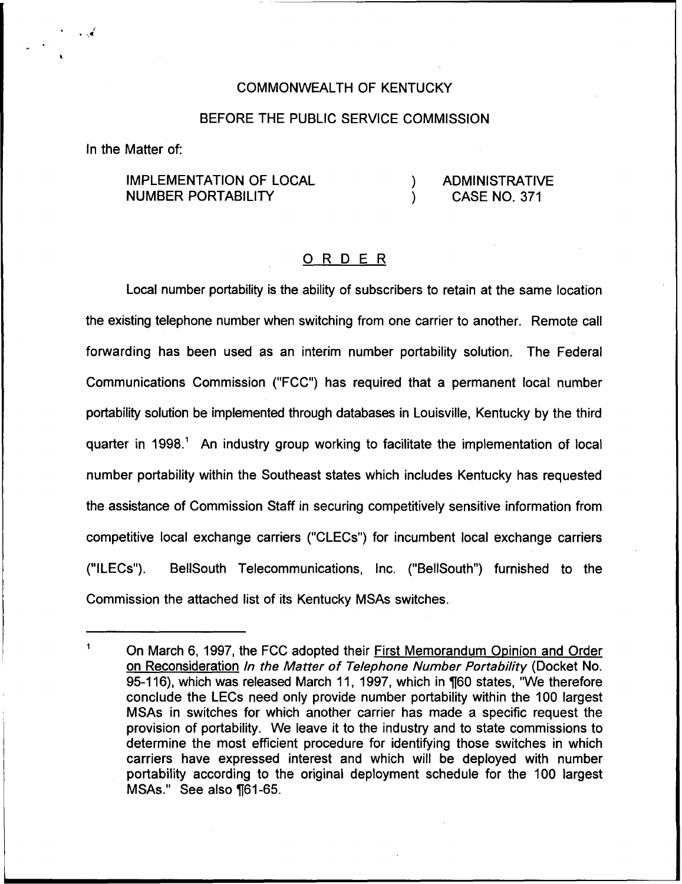#### COMMONWEALTH OF KENTUCKY

## BEFORE THE PUBLIC SERVICE COMMISSION

In the Matter of:

## IMPLEMENTATION OF LOCAL NUMBER PORTABILITY

## ) ADMINISTRATIVE<br>) CASE NO. 371 ) CASE NO. 371

#### ORDER

Local number portability is the ability of subscribers to retain at the same location the existing telephone number when switching from one carrier to another. Remote call forwarding has been used as an interim number portability solution. The Federal Communications Commission ("FCC") has required that a permanent local number portability solution be implemented through databases in Louisville, Kentucky by the third quarter in 1998." An industry group working to facilitate the implementation of local number portability within the Southeast states which includes Kentucky has requested the assistance of Commission Staff in securing competitively sensitive information from competitive local exchange carriers ("CLECs") for incumbent local exchange carriers ("ILECs"). BellSouth Telecommunications, Inc. ("BellSouth") furnished to the Commission the attached list of its Kentucky MSAs switches.

 $\mathbf{1}$ On March 6, 1997, the FCC adopted their First Memorandum Opinion and Order on Reconsideration In the Matter of Telephone Number Portability (Docket No. 95-116), which was released March 11, 1997, which in ¶60 states, "We therefore conclude the LECs need only provide number portability within the 100 largest MSAs in switches for which another carrier has made a specific request the provision of portability. We leave it to the industry and to state commissions to determine the most efficient procedure for identifying those switches in which carriers have expressed interest and which will be deployed with number portability according to the original deployment schedule for the 100 largest MSAs." See also ¶61-65.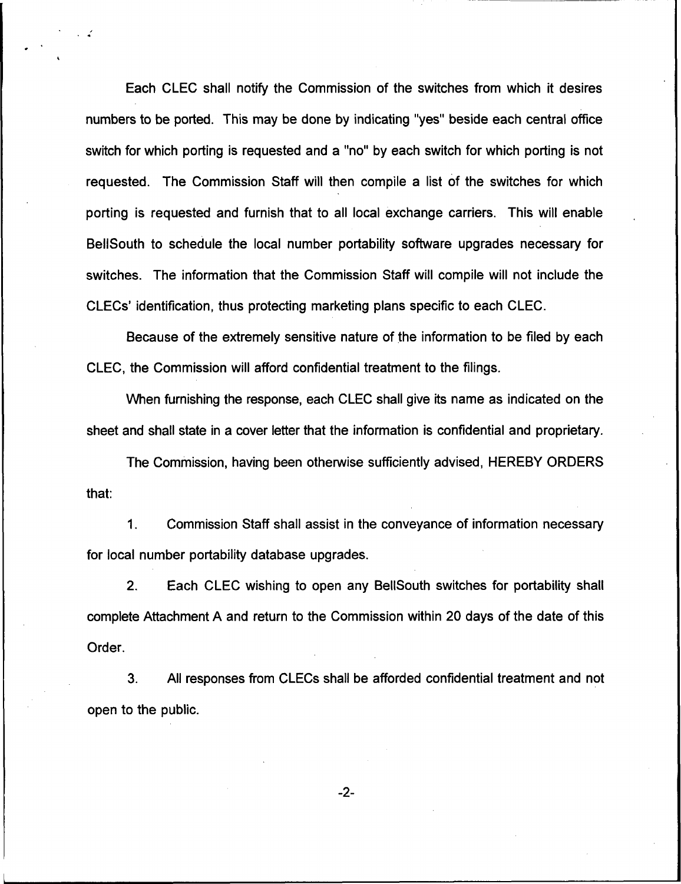Each CLEC shall notify the Commission of the switches from which it desires numbers to be ported. This may be done by indicating "yes" beside each central office switch for which porting is requested and a "no" by each switch for which porting is no requested. The Commission Staff will then compile a list of the switches for which porting is requested and furnish that to all local exchange carriers. This will enable BellSouth to schedule the local number portability software upgrades necessary for switches. The information that the Commission Staff will compile will not include the CLECs' identification, thus protecting marketing plans specific to each CLEC.

Because of the extremely sensitive nature of the information to be filed by each CLEC, the Commission will afford confidential treatment to the filings,

When furnishing the response, each CLEC shall give its name as indicated on the sheet and shall state in a cover letter that the information is confidential and proprietary.

The Commission, having been otherwise sufficiently advised, HEREBY ORDERS that:

1. Commission Staff shall assist in the conveyance of information necessary for local number portability database upgrades.

2. Each CLEC wishing to open any BellSouth switches for portability shall complete Attachment A and return to the Commission within 20 days of the date of this Order.

3. All responses from CLECs shall be afforded confidential treatment and not open to the public.

 $-2-$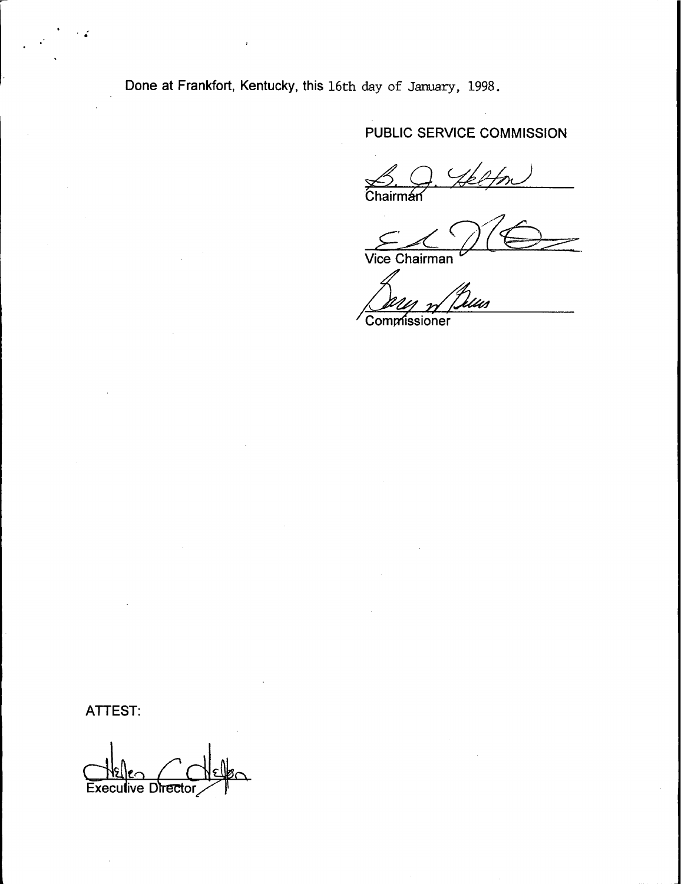Done at Frankfort, Kentucky, this 16th day of January, 1998.

## PUBLIC SERVICE COMMISSION

 $\xrightarrow{\sim}$  Chairman

Vice Chairman

Commissioner

ATTEST:

**Execut** ve Directo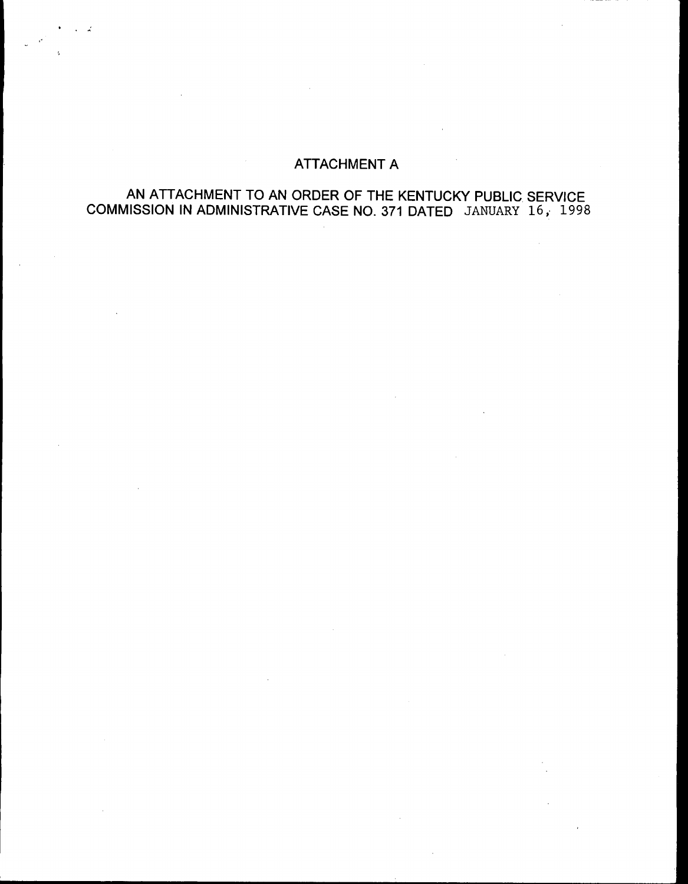# ATTACHMENT A

## AN ATTACHMENT TO AN ORDER OF THE KENTUCKY PUBLIC SERVICE COMMISSION IN ADMINISTRATIVE CASE NO. 373 DATED JANUARY 16, 1998

 $\sim$ 

 $\mathbf{A}$